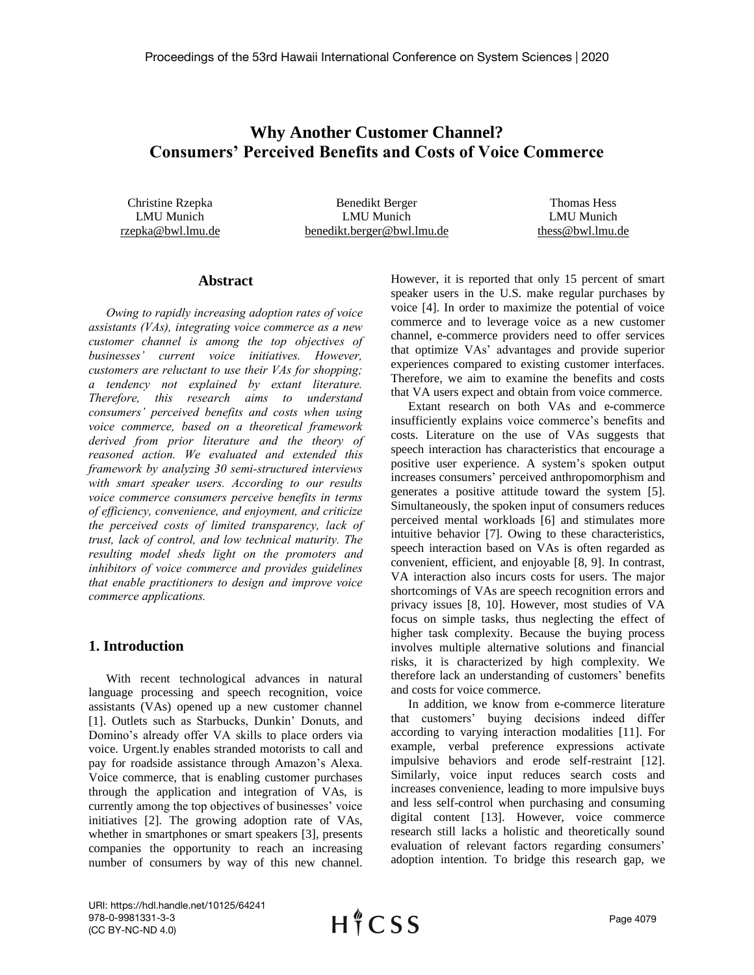# **Why Another Customer Channel? Consumers' Perceived Benefits and Costs of Voice Commerce**

Christine Rzepka LMU Munich rzepka@bwl.lmu.de

Benedikt Berger LMU Munich benedikt.berger@bwl.lmu.de

Thomas Hess LMU Munich thess@bwl.lmu.de

### **Abstract**

*Owing to rapidly increasing adoption rates of voice assistants (VAs), integrating voice commerce as a new customer channel is among the top objectives of businesses' current voice initiatives. However, customers are reluctant to use their VAs for shopping; a tendency not explained by extant literature. Therefore, this research aims to understand consumers' perceived benefits and costs when using voice commerce, based on a theoretical framework derived from prior literature and the theory of reasoned action. We evaluated and extended this framework by analyzing 30 semi-structured interviews with smart speaker users. According to our results voice commerce consumers perceive benefits in terms of efficiency, convenience, and enjoyment, and criticize the perceived costs of limited transparency, lack of trust, lack of control, and low technical maturity. The resulting model sheds light on the promoters and inhibitors of voice commerce and provides guidelines that enable practitioners to design and improve voice commerce applications.*

# **1. Introduction**

With recent technological advances in natural language processing and speech recognition, voice assistants (VAs) opened up a new customer channel [1]. Outlets such as Starbucks, Dunkin' Donuts, and Domino's already offer VA skills to place orders via voice. Urgent.ly enables stranded motorists to call and pay for roadside assistance through Amazon's Alexa. Voice commerce, that is enabling customer purchases through the application and integration of VAs, is currently among the top objectives of businesses' voice initiatives [2]. The growing adoption rate of VAs, whether in smartphones or smart speakers [3], presents companies the opportunity to reach an increasing number of consumers by way of this new channel.

However, it is reported that only 15 percent of smart speaker users in the U.S. make regular purchases by voice [4]. In order to maximize the potential of voice commerce and to leverage voice as a new customer channel, e-commerce providers need to offer services that optimize VAs' advantages and provide superior experiences compared to existing customer interfaces. Therefore, we aim to examine the benefits and costs that VA users expect and obtain from voice commerce.

Extant research on both VAs and e-commerce insufficiently explains voice commerce's benefits and costs. Literature on the use of VAs suggests that speech interaction has characteristics that encourage a positive user experience. A system's spoken output increases consumers' perceived anthropomorphism and generates a positive attitude toward the system [5]. Simultaneously, the spoken input of consumers reduces perceived mental workloads [6] and stimulates more intuitive behavior [7]. Owing to these characteristics, speech interaction based on VAs is often regarded as convenient, efficient, and enjoyable [8, 9]. In contrast, VA interaction also incurs costs for users. The major shortcomings of VAs are speech recognition errors and privacy issues [8, 10]. However, most studies of VA focus on simple tasks, thus neglecting the effect of higher task complexity. Because the buying process involves multiple alternative solutions and financial risks, it is characterized by high complexity. We therefore lack an understanding of customers' benefits and costs for voice commerce.

In addition, we know from e-commerce literature that customers' buying decisions indeed differ according to varying interaction modalities [11]. For example, verbal preference expressions activate impulsive behaviors and erode self-restraint [12]. Similarly, voice input reduces search costs and increases convenience, leading to more impulsive buys and less self-control when purchasing and consuming digital content [13]. However, voice commerce research still lacks a holistic and theoretically sound evaluation of relevant factors regarding consumers' adoption intention. To bridge this research gap, we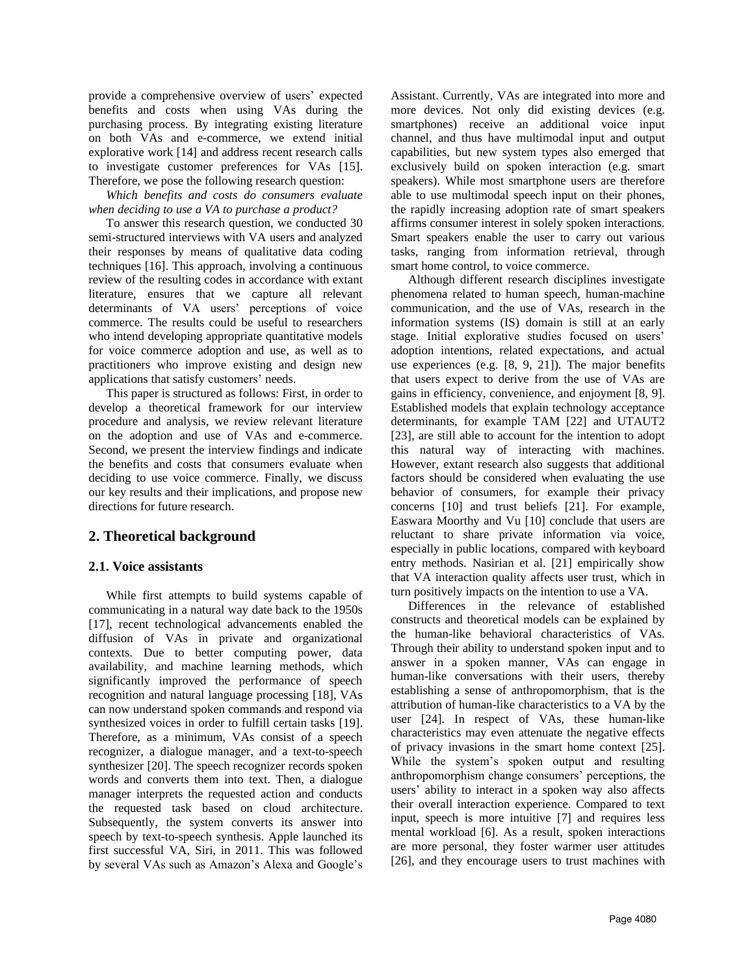provide a comprehensive overview of users' expected benefits and costs when using VAs during the purchasing process. By integrating existing literature on both VAs and e-commerce, we extend initial explorative work [14] and address recent research calls to investigate customer preferences for VAs [15]. Therefore, we pose the following research question:

*Which benefits and costs do consumers evaluate when deciding to use a VA to purchase a product?*

To answer this research question, we conducted 30 semi-structured interviews with VA users and analyzed their responses by means of qualitative data coding techniques [16]. This approach, involving a continuous review of the resulting codes in accordance with extant literature, ensures that we capture all relevant determinants of VA users' perceptions of voice commerce. The results could be useful to researchers who intend developing appropriate quantitative models for voice commerce adoption and use, as well as to practitioners who improve existing and design new applications that satisfy customers' needs.

This paper is structured as follows: First, in order to develop a theoretical framework for our interview procedure and analysis, we review relevant literature on the adoption and use of VAs and e-commerce. Second, we present the interview findings and indicate the benefits and costs that consumers evaluate when deciding to use voice commerce. Finally, we discuss our key results and their implications, and propose new directions for future research.

# **2. Theoretical background**

### **2.1. Voice assistants**

While first attempts to build systems capable of communicating in a natural way date back to the 1950s [17], recent technological advancements enabled the diffusion of VAs in private and organizational contexts. Due to better computing power, data availability, and machine learning methods, which significantly improved the performance of speech recognition and natural language processing [18], VAs can now understand spoken commands and respond via synthesized voices in order to fulfill certain tasks [19]. Therefore, as a minimum, VAs consist of a speech recognizer, a dialogue manager, and a text-to-speech synthesizer [20]. The speech recognizer records spoken words and converts them into text. Then, a dialogue manager interprets the requested action and conducts the requested task based on cloud architecture. Subsequently, the system converts its answer into speech by text-to-speech synthesis. Apple launched its first successful VA, Siri, in 2011. This was followed by several VAs such as Amazon's Alexa and Google's Assistant. Currently, VAs are integrated into more and more devices. Not only did existing devices (e.g. smartphones) receive an additional voice input channel, and thus have multimodal input and output capabilities, but new system types also emerged that exclusively build on spoken interaction (e.g. smart speakers). While most smartphone users are therefore able to use multimodal speech input on their phones, the rapidly increasing adoption rate of smart speakers affirms consumer interest in solely spoken interactions. Smart speakers enable the user to carry out various tasks, ranging from information retrieval, through smart home control, to voice commerce.

Although different research disciplines investigate phenomena related to human speech, human-machine communication, and the use of VAs, research in the information systems (IS) domain is still at an early stage. Initial explorative studies focused on users' adoption intentions, related expectations, and actual use experiences (e.g. [8, 9, 21]). The major benefits that users expect to derive from the use of VAs are gains in efficiency, convenience, and enjoyment [8, 9]. Established models that explain technology acceptance determinants, for example TAM [22] and UTAUT2 [23], are still able to account for the intention to adopt this natural way of interacting with machines. However, extant research also suggests that additional factors should be considered when evaluating the use behavior of consumers, for example their privacy concerns [10] and trust beliefs [21]. For example, Easwara Moorthy and Vu [10] conclude that users are reluctant to share private information via voice, especially in public locations, compared with keyboard entry methods. Nasirian et al. [21] empirically show that VA interaction quality affects user trust, which in turn positively impacts on the intention to use a VA.

Differences in the relevance of established constructs and theoretical models can be explained by the human-like behavioral characteristics of VAs. Through their ability to understand spoken input and to answer in a spoken manner, VAs can engage in human-like conversations with their users, thereby establishing a sense of anthropomorphism, that is the attribution of human-like characteristics to a VA by the user [24]. In respect of VAs, these human-like characteristics may even attenuate the negative effects of privacy invasions in the smart home context [25]. While the system's spoken output and resulting anthropomorphism change consumers' perceptions, the users' ability to interact in a spoken way also affects their overall interaction experience. Compared to text input, speech is more intuitive [7] and requires less mental workload [6]. As a result, spoken interactions are more personal, they foster warmer user attitudes [26], and they encourage users to trust machines with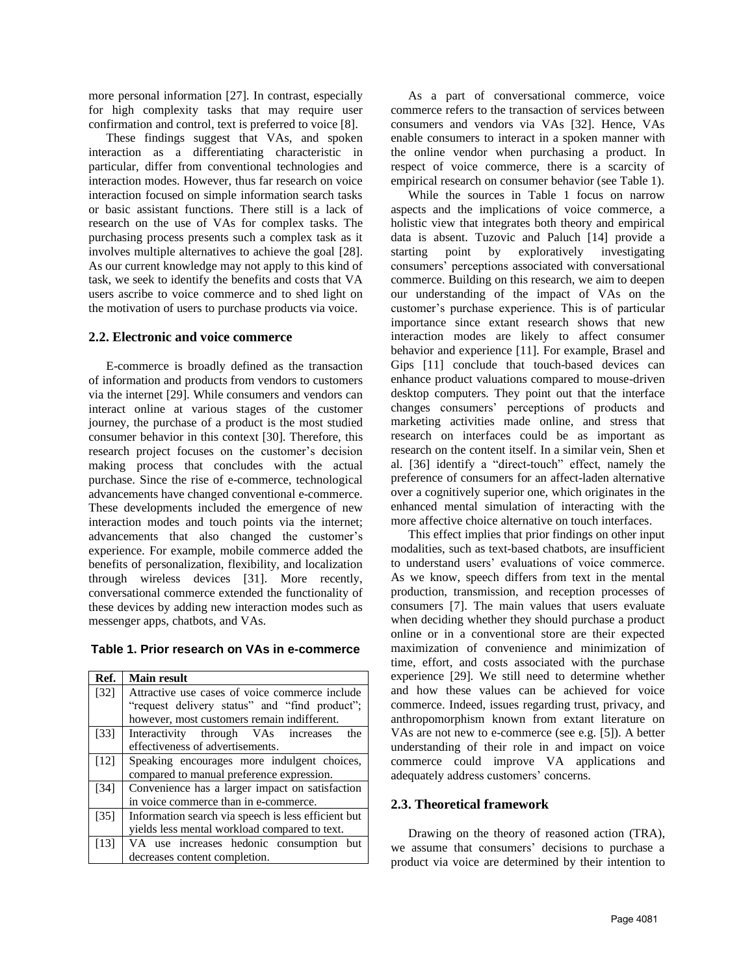more personal information [27]. In contrast, especially for high complexity tasks that may require user confirmation and control, text is preferred to voice [8].

These findings suggest that VAs, and spoken interaction as a differentiating characteristic in particular, differ from conventional technologies and interaction modes. However, thus far research on voice interaction focused on simple information search tasks or basic assistant functions. There still is a lack of research on the use of VAs for complex tasks. The purchasing process presents such a complex task as it involves multiple alternatives to achieve the goal [28]. As our current knowledge may not apply to this kind of task, we seek to identify the benefits and costs that VA users ascribe to voice commerce and to shed light on the motivation of users to purchase products via voice.

#### **2.2. Electronic and voice commerce**

E-commerce is broadly defined as the transaction of information and products from vendors to customers via the internet [29]. While consumers and vendors can interact online at various stages of the customer journey, the purchase of a product is the most studied consumer behavior in this context [30]. Therefore, this research project focuses on the customer's decision making process that concludes with the actual purchase. Since the rise of e-commerce, technological advancements have changed conventional e-commerce. These developments included the emergence of new interaction modes and touch points via the internet; advancements that also changed the customer's experience. For example, mobile commerce added the benefits of personalization, flexibility, and localization through wireless devices [31]. More recently, conversational commerce extended the functionality of these devices by adding new interaction modes such as messenger apps, chatbots, and VAs.

|  |  |  |  |  |  | Table 1. Prior research on VAs in e-commerce |
|--|--|--|--|--|--|----------------------------------------------|
|--|--|--|--|--|--|----------------------------------------------|

| Ref.              | <b>Main result</b>                                  |
|-------------------|-----------------------------------------------------|
| $[32]$            | Attractive use cases of voice commerce include      |
|                   | "request delivery status" and "find product";       |
|                   | however, most customers remain indifferent.         |
| $\left[33\right]$ | Interactivity through VAs increases<br>the          |
|                   | effectiveness of advertisements.                    |
| $[12]$            | Speaking encourages more indulgent choices,         |
|                   | compared to manual preference expression.           |
| $[34]$            | Convenience has a larger impact on satisfaction     |
|                   | in voice commerce than in e-commerce.               |
| $[35]$            | Information search via speech is less efficient but |
|                   | yields less mental workload compared to text.       |
| [13]              | VA use increases hedonic consumption but            |
|                   | decreases content completion.                       |

As a part of conversational commerce, voice commerce refers to the transaction of services between consumers and vendors via VAs [32]. Hence, VAs enable consumers to interact in a spoken manner with the online vendor when purchasing a product. In respect of voice commerce, there is a scarcity of empirical research on consumer behavior (see Table 1).

While the sources in Table 1 focus on narrow aspects and the implications of voice commerce, a holistic view that integrates both theory and empirical data is absent. Tuzovic and Paluch [14] provide a starting point by exploratively investigating consumers' perceptions associated with conversational commerce. Building on this research, we aim to deepen our understanding of the impact of VAs on the customer's purchase experience. This is of particular importance since extant research shows that new interaction modes are likely to affect consumer behavior and experience [11]. For example, Brasel and Gips [11] conclude that touch-based devices can enhance product valuations compared to mouse-driven desktop computers. They point out that the interface changes consumers' perceptions of products and marketing activities made online, and stress that research on interfaces could be as important as research on the content itself. In a similar vein, Shen et al. [36] identify a "direct-touch" effect, namely the preference of consumers for an affect-laden alternative over a cognitively superior one, which originates in the enhanced mental simulation of interacting with the more affective choice alternative on touch interfaces.

This effect implies that prior findings on other input modalities, such as text-based chatbots, are insufficient to understand users' evaluations of voice commerce. As we know, speech differs from text in the mental production, transmission, and reception processes of consumers [7]. The main values that users evaluate when deciding whether they should purchase a product online or in a conventional store are their expected maximization of convenience and minimization of time, effort, and costs associated with the purchase experience [29]. We still need to determine whether and how these values can be achieved for voice commerce. Indeed, issues regarding trust, privacy, and anthropomorphism known from extant literature on VAs are not new to e-commerce (see e.g. [5]). A better understanding of their role in and impact on voice commerce could improve VA applications and adequately address customers' concerns.

# **2.3. Theoretical framework**

Drawing on the theory of reasoned action (TRA), we assume that consumers' decisions to purchase a product via voice are determined by their intention to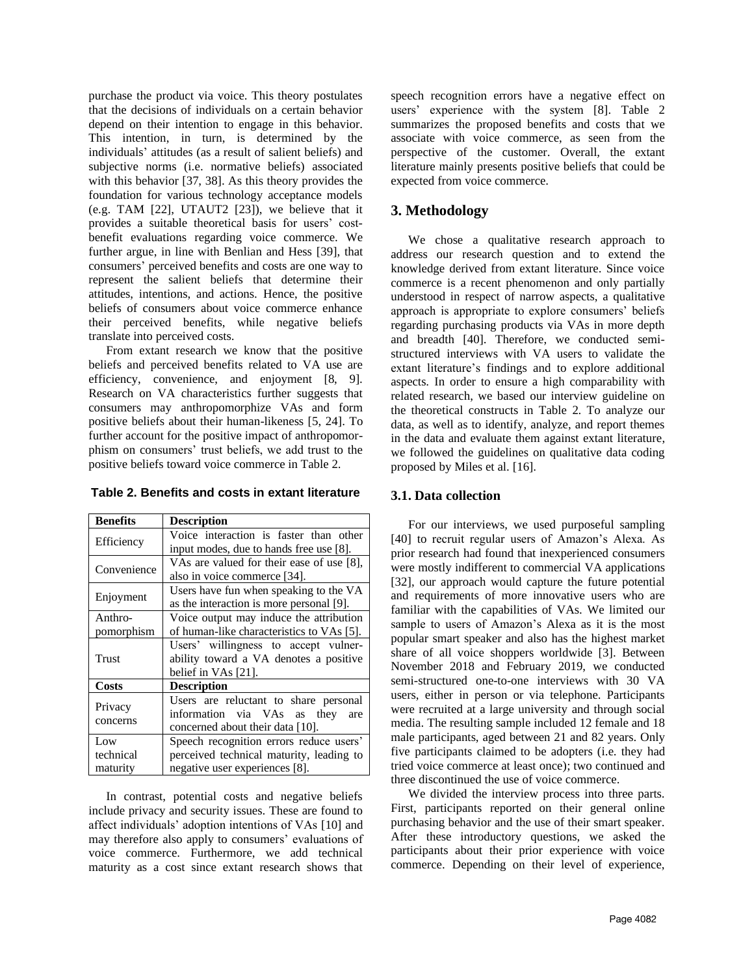purchase the product via voice. This theory postulates that the decisions of individuals on a certain behavior depend on their intention to engage in this behavior. This intention, in turn, is determined by the individuals' attitudes (as a result of salient beliefs) and subjective norms (i.e. normative beliefs) associated with this behavior [37, 38]. As this theory provides the foundation for various technology acceptance models (e.g. TAM [22], UTAUT2 [23]), we believe that it provides a suitable theoretical basis for users' costbenefit evaluations regarding voice commerce. We further argue, in line with Benlian and Hess [39], that consumers' perceived benefits and costs are one way to represent the salient beliefs that determine their attitudes, intentions, and actions. Hence, the positive beliefs of consumers about voice commerce enhance their perceived benefits, while negative beliefs translate into perceived costs.

From extant research we know that the positive beliefs and perceived benefits related to VA use are efficiency, convenience, and enjoyment [8, 9]. Research on VA characteristics further suggests that consumers may anthropomorphize VAs and form positive beliefs about their human-likeness [5, 24]. To further account for the positive impact of anthropomorphism on consumers' trust beliefs, we add trust to the positive beliefs toward voice commerce in Table 2.

| Table 2. Benefits and costs in extant literature |  |
|--------------------------------------------------|--|
|--------------------------------------------------|--|

| <b>Benefits</b>     | <b>Description</b>                        |  |
|---------------------|-------------------------------------------|--|
| Efficiency          | Voice interaction is faster than other    |  |
|                     | input modes, due to hands free use [8].   |  |
| Convenience         | VAs are valued for their ease of use [8], |  |
|                     | also in voice commerce [34].              |  |
| Enjoyment           | Users have fun when speaking to the VA    |  |
|                     | as the interaction is more personal [9].  |  |
| Anthro-             | Voice output may induce the attribution   |  |
| pomorphism          | of human-like characteristics to VAs [5]. |  |
| Trust               | Users' willingness to accept vulner-      |  |
|                     | ability toward a VA denotes a positive    |  |
|                     | belief in VAs [21].                       |  |
| <b>Costs</b>        | <b>Description</b>                        |  |
| Privacy<br>concerns | Users are reluctant to share personal     |  |
|                     | information via VAs as they<br>are        |  |
|                     | concerned about their data [10].          |  |
| Low                 | Speech recognition errors reduce users'   |  |
| technical           | perceived technical maturity, leading to  |  |
| maturity            | negative user experiences [8].            |  |

In contrast, potential costs and negative beliefs include privacy and security issues. These are found to affect individuals' adoption intentions of VAs [10] and may therefore also apply to consumers' evaluations of voice commerce. Furthermore, we add technical maturity as a cost since extant research shows that

speech recognition errors have a negative effect on users' experience with the system [8]. Table 2 summarizes the proposed benefits and costs that we associate with voice commerce, as seen from the perspective of the customer. Overall, the extant literature mainly presents positive beliefs that could be expected from voice commerce.

### **3. Methodology**

We chose a qualitative research approach to address our research question and to extend the knowledge derived from extant literature. Since voice commerce is a recent phenomenon and only partially understood in respect of narrow aspects, a qualitative approach is appropriate to explore consumers' beliefs regarding purchasing products via VAs in more depth and breadth [40]. Therefore, we conducted semistructured interviews with VA users to validate the extant literature's findings and to explore additional aspects. In order to ensure a high comparability with related research, we based our interview guideline on the theoretical constructs in Table 2. To analyze our data, as well as to identify, analyze, and report themes in the data and evaluate them against extant literature, we followed the guidelines on qualitative data coding proposed by Miles et al. [16].

#### **3.1. Data collection**

For our interviews, we used purposeful sampling [40] to recruit regular users of Amazon's Alexa. As prior research had found that inexperienced consumers were mostly indifferent to commercial VA applications [32], our approach would capture the future potential and requirements of more innovative users who are familiar with the capabilities of VAs. We limited our sample to users of Amazon's Alexa as it is the most popular smart speaker and also has the highest market share of all voice shoppers worldwide [3]. Between November 2018 and February 2019, we conducted semi-structured one-to-one interviews with 30 VA users, either in person or via telephone. Participants were recruited at a large university and through social media. The resulting sample included 12 female and 18 male participants, aged between 21 and 82 years. Only five participants claimed to be adopters (i.e. they had tried voice commerce at least once); two continued and three discontinued the use of voice commerce.

We divided the interview process into three parts. First, participants reported on their general online purchasing behavior and the use of their smart speaker. After these introductory questions, we asked the participants about their prior experience with voice commerce. Depending on their level of experience,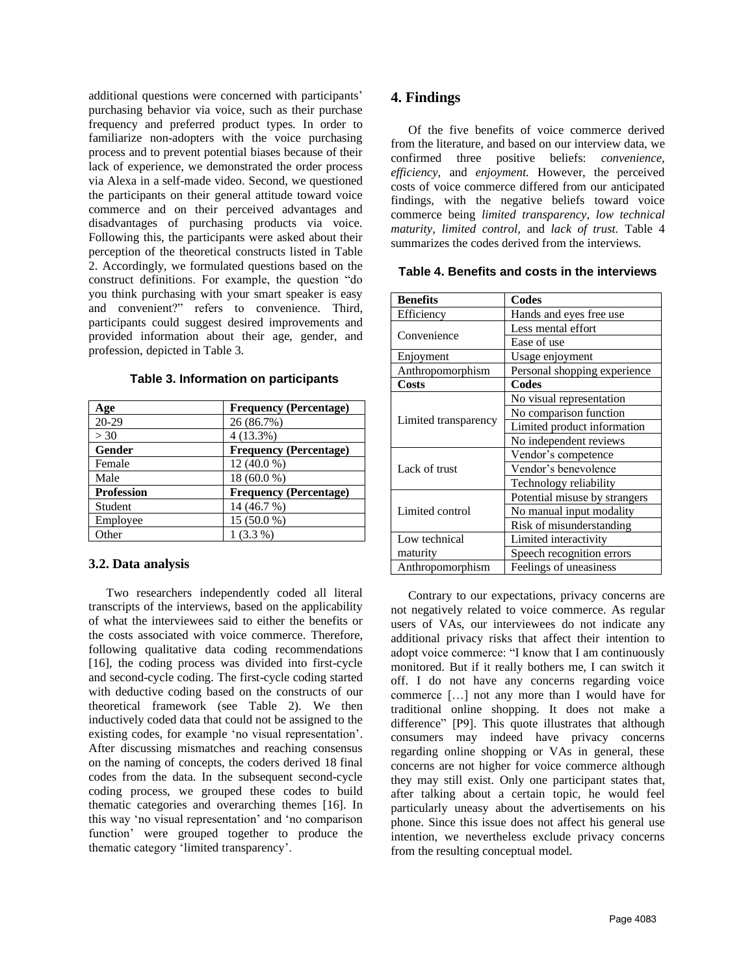additional questions were concerned with participants' purchasing behavior via voice, such as their purchase frequency and preferred product types. In order to familiarize non-adopters with the voice purchasing process and to prevent potential biases because of their lack of experience, we demonstrated the order process via Alexa in a self-made video. Second, we questioned the participants on their general attitude toward voice commerce and on their perceived advantages and disadvantages of purchasing products via voice. Following this, the participants were asked about their perception of the theoretical constructs listed in Table 2. Accordingly, we formulated questions based on the construct definitions. For example, the question "do you think purchasing with your smart speaker is easy and convenient?" refers to convenience. Third, participants could suggest desired improvements and provided information about their age, gender, and profession, depicted in Table 3.

| Age               | <b>Frequency (Percentage)</b> |
|-------------------|-------------------------------|
| $20 - 29$         | 26 (86.7%)                    |
| > 30              | $4(13.3\%)$                   |
| Gender            | <b>Frequency (Percentage)</b> |
| Female            | 12 (40.0 %)                   |
| Male              | 18 (60.0 %)                   |
| <b>Profession</b> | <b>Frequency (Percentage)</b> |
| Student           | 14 (46.7 %)                   |
| Employee          | 15 (50.0 %)                   |
| Other             | $1(3.3\%)$                    |

### **Table 3. Information on participants**

#### **3.2. Data analysis**

Two researchers independently coded all literal transcripts of the interviews, based on the applicability of what the interviewees said to either the benefits or the costs associated with voice commerce. Therefore, following qualitative data coding recommendations [16], the coding process was divided into first-cycle and second-cycle coding. The first-cycle coding started with deductive coding based on the constructs of our theoretical framework (see Table 2). We then inductively coded data that could not be assigned to the existing codes, for example 'no visual representation'. After discussing mismatches and reaching consensus on the naming of concepts, the coders derived 18 final codes from the data. In the subsequent second-cycle coding process, we grouped these codes to build thematic categories and overarching themes [16]. In this way 'no visual representation' and 'no comparison function' were grouped together to produce the thematic category 'limited transparency'.

### **4. Findings**

Of the five benefits of voice commerce derived from the literature, and based on our interview data, we confirmed three positive beliefs: *convenience, efficiency,* and *enjoyment.* However, the perceived costs of voice commerce differed from our anticipated findings, with the negative beliefs toward voice commerce being *limited transparency, low technical maturity, limited control,* and *lack of trust.* Table 4 summarizes the codes derived from the interviews.

| <b>Benefits</b>      | Codes                         |
|----------------------|-------------------------------|
| Efficiency           | Hands and eyes free use       |
| Convenience          | Less mental effort            |
|                      | Ease of use                   |
| Enjoyment            | Usage enjoyment               |
| Anthropomorphism     | Personal shopping experience  |
| <b>Costs</b>         | Codes                         |
|                      | No visual representation      |
|                      | No comparison function        |
| Limited transparency | Limited product information   |
|                      | No independent reviews        |
|                      | Vendor's competence           |
| Lack of trust        | Vendor's benevolence          |
|                      | Technology reliability        |
|                      | Potential misuse by strangers |
| Limited control      | No manual input modality      |
|                      | Risk of misunderstanding      |
| Low technical        | Limited interactivity         |
| maturity             | Speech recognition errors     |
| Anthropomorphism     | Feelings of uneasiness        |

**Table 4. Benefits and costs in the interviews** 

Contrary to our expectations, privacy concerns are not negatively related to voice commerce. As regular users of VAs, our interviewees do not indicate any additional privacy risks that affect their intention to adopt voice commerce: "I know that I am continuously monitored. But if it really bothers me, I can switch it off. I do not have any concerns regarding voice commerce […] not any more than I would have for traditional online shopping. It does not make a difference" [P9]. This quote illustrates that although consumers may indeed have privacy concerns regarding online shopping or VAs in general, these concerns are not higher for voice commerce although they may still exist. Only one participant states that, after talking about a certain topic, he would feel particularly uneasy about the advertisements on his phone. Since this issue does not affect his general use intention, we nevertheless exclude privacy concerns from the resulting conceptual model.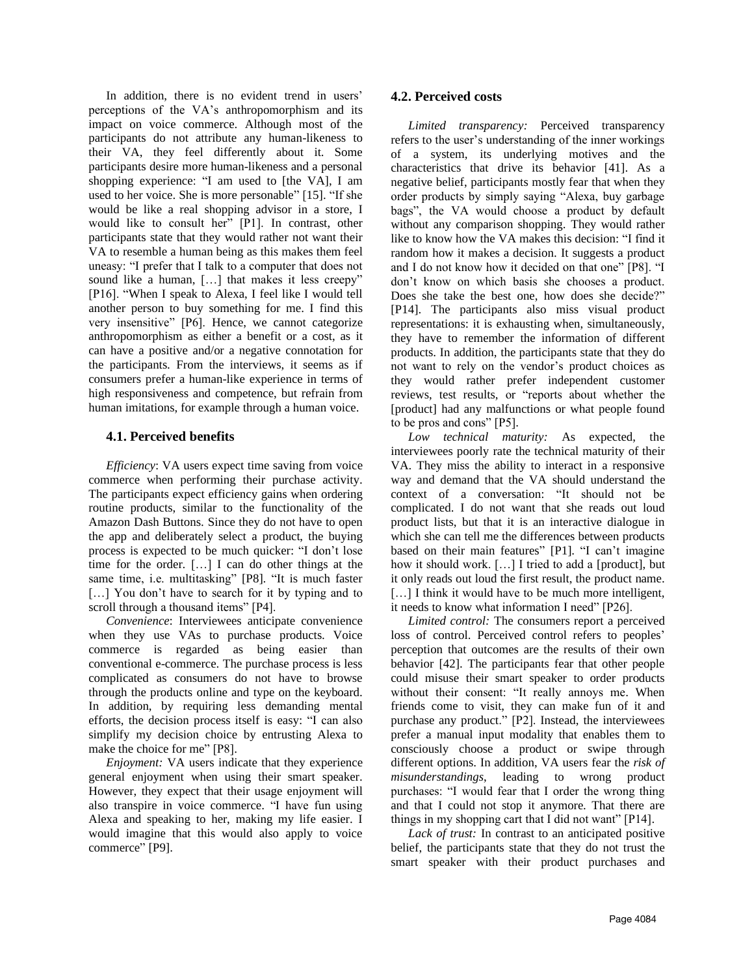In addition, there is no evident trend in users' perceptions of the VA's anthropomorphism and its impact on voice commerce. Although most of the participants do not attribute any human-likeness to their VA, they feel differently about it. Some participants desire more human-likeness and a personal shopping experience: "I am used to [the VA], I am used to her voice. She is more personable" [15]. "If she would be like a real shopping advisor in a store, I would like to consult her" [P1]. In contrast, other participants state that they would rather not want their VA to resemble a human being as this makes them feel uneasy: "I prefer that I talk to a computer that does not sound like a human, [...] that makes it less creepy" [P16]. "When I speak to Alexa, I feel like I would tell another person to buy something for me. I find this very insensitive" [P6]. Hence, we cannot categorize anthropomorphism as either a benefit or a cost, as it can have a positive and/or a negative connotation for the participants. From the interviews, it seems as if consumers prefer a human-like experience in terms of high responsiveness and competence, but refrain from human imitations, for example through a human voice.

# **4.1. Perceived benefits**

*Efficiency*: VA users expect time saving from voice commerce when performing their purchase activity. The participants expect efficiency gains when ordering routine products, similar to the functionality of the Amazon Dash Buttons. Since they do not have to open the app and deliberately select a product, the buying process is expected to be much quicker: "I don't lose time for the order. […] I can do other things at the same time, i.e. multitasking" [P8]. "It is much faster [...] You don't have to search for it by typing and to scroll through a thousand items" [P4].

*Convenience*: Interviewees anticipate convenience when they use VAs to purchase products. Voice commerce is regarded as being easier than conventional e-commerce. The purchase process is less complicated as consumers do not have to browse through the products online and type on the keyboard. In addition, by requiring less demanding mental efforts, the decision process itself is easy: "I can also simplify my decision choice by entrusting Alexa to make the choice for me" [P8].

*Enjoyment:* VA users indicate that they experience general enjoyment when using their smart speaker. However, they expect that their usage enjoyment will also transpire in voice commerce. "I have fun using Alexa and speaking to her, making my life easier. I would imagine that this would also apply to voice commerce" [P9].

### **4.2. Perceived costs**

*Limited transparency:* Perceived transparency refers to the user's understanding of the inner workings of a system, its underlying motives and the characteristics that drive its behavior [41]. As a negative belief, participants mostly fear that when they order products by simply saying "Alexa, buy garbage bags", the VA would choose a product by default without any comparison shopping. They would rather like to know how the VA makes this decision: "I find it random how it makes a decision. It suggests a product and I do not know how it decided on that one" [P8]. "I don't know on which basis she chooses a product. Does she take the best one, how does she decide?" [P14]. The participants also miss visual product representations: it is exhausting when, simultaneously, they have to remember the information of different products. In addition, the participants state that they do not want to rely on the vendor's product choices as they would rather prefer independent customer reviews, test results, or "reports about whether the [product] had any malfunctions or what people found to be pros and cons" [P5].

*Low technical maturity:* As expected, the interviewees poorly rate the technical maturity of their VA. They miss the ability to interact in a responsive way and demand that the VA should understand the context of a conversation: "It should not be complicated. I do not want that she reads out loud product lists, but that it is an interactive dialogue in which she can tell me the differences between products based on their main features" [P1]. "I can't imagine how it should work. […] I tried to add a [product], but it only reads out loud the first result, the product name. [...] I think it would have to be much more intelligent, it needs to know what information I need" [P26].

*Limited control:* The consumers report a perceived loss of control. Perceived control refers to peoples' perception that outcomes are the results of their own behavior [42]. The participants fear that other people could misuse their smart speaker to order products without their consent: "It really annoys me. When friends come to visit, they can make fun of it and purchase any product." [P2]. Instead, the interviewees prefer a manual input modality that enables them to consciously choose a product or swipe through different options. In addition, VA users fear the *risk of misunderstandings*, leading to wrong product purchases: "I would fear that I order the wrong thing and that I could not stop it anymore. That there are things in my shopping cart that I did not want" [P14].

*Lack of trust:* In contrast to an anticipated positive belief, the participants state that they do not trust the smart speaker with their product purchases and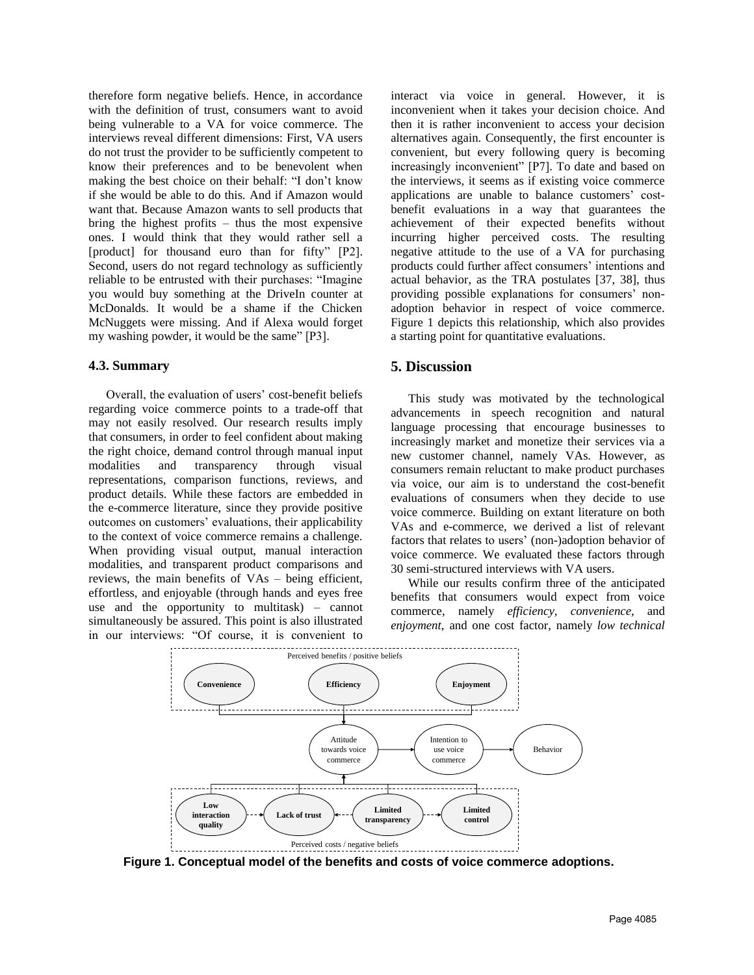therefore form negative beliefs. Hence, in accordance with the definition of trust, consumers want to avoid being vulnerable to a VA for voice commerce. The interviews reveal different dimensions: First, VA users do not trust the provider to be sufficiently competent to know their preferences and to be benevolent when making the best choice on their behalf: "I don't know if she would be able to do this. And if Amazon would want that. Because Amazon wants to sell products that bring the highest profits – thus the most expensive ones. I would think that they would rather sell a [product] for thousand euro than for fifty" [P2]. Second, users do not regard technology as sufficiently reliable to be entrusted with their purchases: "Imagine you would buy something at the DriveIn counter at McDonalds. It would be a shame if the Chicken McNuggets were missing. And if Alexa would forget my washing powder, it would be the same" [P3].

#### **4.3. Summary**

Overall, the evaluation of users' cost-benefit beliefs regarding voice commerce points to a trade-off that may not easily resolved. Our research results imply that consumers, in order to feel confident about making the right choice, demand control through manual input modalities and transparency through visual representations, comparison functions, reviews, and product details. While these factors are embedded in the e-commerce literature, since they provide positive outcomes on customers' evaluations, their applicability to the context of voice commerce remains a challenge. When providing visual output, manual interaction modalities, and transparent product comparisons and reviews, the main benefits of VAs – being efficient, effortless, and enjoyable (through hands and eyes free use and the opportunity to multitask)  $-$  cannot simultaneously be assured. This point is also illustrated in our interviews: "Of course, it is convenient to

interact via voice in general. However, it is inconvenient when it takes your decision choice. And then it is rather inconvenient to access your decision alternatives again. Consequently, the first encounter is convenient, but every following query is becoming increasingly inconvenient" [P7]. To date and based on the interviews, it seems as if existing voice commerce applications are unable to balance customers' costbenefit evaluations in a way that guarantees the achievement of their expected benefits without incurring higher perceived costs. The resulting negative attitude to the use of a VA for purchasing products could further affect consumers' intentions and actual behavior, as the TRA postulates [37, 38], thus providing possible explanations for consumers' nonadoption behavior in respect of voice commerce. Figure 1 depicts this relationship, which also provides a starting point for quantitative evaluations.

### **5. Discussion**

This study was motivated by the technological advancements in speech recognition and natural language processing that encourage businesses to increasingly market and monetize their services via a new customer channel, namely VAs. However, as consumers remain reluctant to make product purchases via voice, our aim is to understand the cost-benefit evaluations of consumers when they decide to use voice commerce. Building on extant literature on both VAs and e-commerce, we derived a list of relevant factors that relates to users' (non-)adoption behavior of voice commerce. We evaluated these factors through 30 semi-structured interviews with VA users.

While our results confirm three of the anticipated benefits that consumers would expect from voice commerce, namely *efficiency, convenience,* and *enjoyment*, and one cost factor, namely *low technical* 



**Figure 1. Conceptual model of the benefits and costs of voice commerce adoptions.**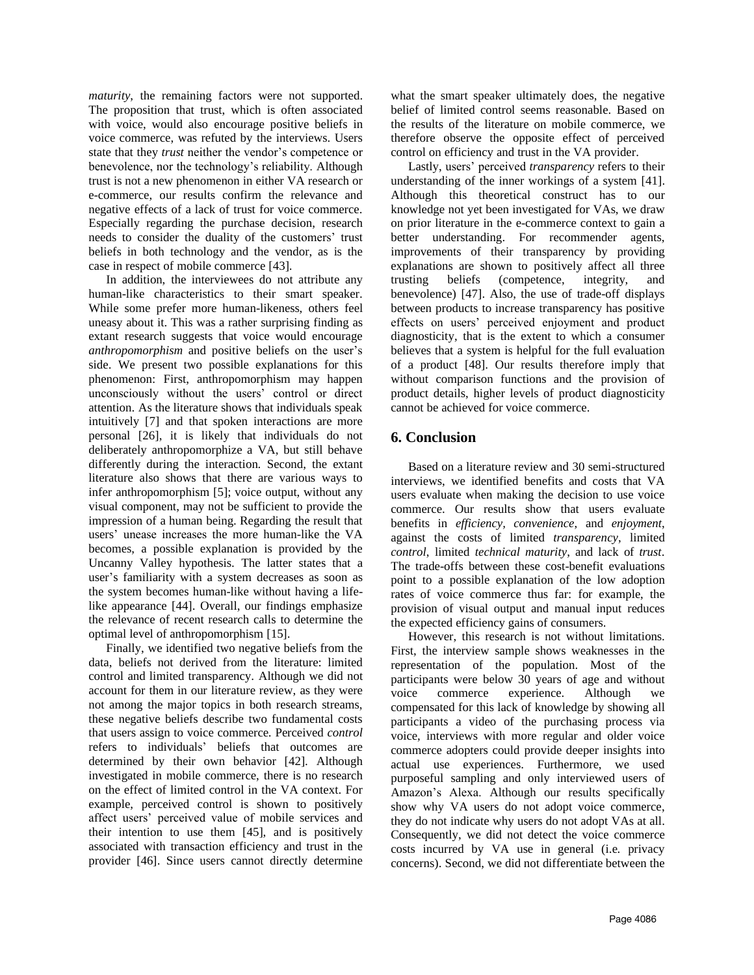*maturity*, the remaining factors were not supported. The proposition that trust, which is often associated with voice, would also encourage positive beliefs in voice commerce, was refuted by the interviews. Users state that they *trust* neither the vendor's competence or benevolence, nor the technology's reliability. Although trust is not a new phenomenon in either VA research or e-commerce, our results confirm the relevance and negative effects of a lack of trust for voice commerce. Especially regarding the purchase decision, research needs to consider the duality of the customers' trust beliefs in both technology and the vendor, as is the case in respect of mobile commerce [43].

In addition, the interviewees do not attribute any human-like characteristics to their smart speaker. While some prefer more human-likeness, others feel uneasy about it. This was a rather surprising finding as extant research suggests that voice would encourage *anthropomorphism* and positive beliefs on the user's side. We present two possible explanations for this phenomenon: First, anthropomorphism may happen unconsciously without the users' control or direct attention. As the literature shows that individuals speak intuitively [7] and that spoken interactions are more personal [26], it is likely that individuals do not deliberately anthropomorphize a VA, but still behave differently during the interaction. Second, the extant literature also shows that there are various ways to infer anthropomorphism [5]; voice output, without any visual component, may not be sufficient to provide the impression of a human being. Regarding the result that users' unease increases the more human-like the VA becomes, a possible explanation is provided by the Uncanny Valley hypothesis. The latter states that a user's familiarity with a system decreases as soon as the system becomes human-like without having a lifelike appearance [44]. Overall, our findings emphasize the relevance of recent research calls to determine the optimal level of anthropomorphism [15].

Finally, we identified two negative beliefs from the data, beliefs not derived from the literature: limited control and limited transparency. Although we did not account for them in our literature review, as they were not among the major topics in both research streams, these negative beliefs describe two fundamental costs that users assign to voice commerce. Perceived *control* refers to individuals' beliefs that outcomes are determined by their own behavior [42]. Although investigated in mobile commerce, there is no research on the effect of limited control in the VA context. For example, perceived control is shown to positively affect users' perceived value of mobile services and their intention to use them [45], and is positively associated with transaction efficiency and trust in the provider [46]. Since users cannot directly determine

what the smart speaker ultimately does, the negative belief of limited control seems reasonable. Based on the results of the literature on mobile commerce, we therefore observe the opposite effect of perceived control on efficiency and trust in the VA provider.

Lastly, users' perceived *transparency* refers to their understanding of the inner workings of a system [41]. Although this theoretical construct has to our knowledge not yet been investigated for VAs, we draw on prior literature in the e-commerce context to gain a better understanding. For recommender agents, improvements of their transparency by providing explanations are shown to positively affect all three trusting beliefs (competence, integrity, and benevolence) [47]. Also, the use of trade-off displays between products to increase transparency has positive effects on users' perceived enjoyment and product diagnosticity, that is the extent to which a consumer believes that a system is helpful for the full evaluation of a product [48]. Our results therefore imply that without comparison functions and the provision of product details, higher levels of product diagnosticity cannot be achieved for voice commerce.

# **6. Conclusion**

Based on a literature review and 30 semi-structured interviews, we identified benefits and costs that VA users evaluate when making the decision to use voice commerce. Our results show that users evaluate benefits in *efficiency, convenience*, and *enjoyment*, against the costs of limited *transparency*, limited *control*, limited *technical maturity*, and lack of *trust*. The trade-offs between these cost-benefit evaluations point to a possible explanation of the low adoption rates of voice commerce thus far: for example, the provision of visual output and manual input reduces the expected efficiency gains of consumers.

However, this research is not without limitations. First, the interview sample shows weaknesses in the representation of the population. Most of the participants were below 30 years of age and without voice commerce experience. Although we compensated for this lack of knowledge by showing all participants a video of the purchasing process via voice, interviews with more regular and older voice commerce adopters could provide deeper insights into actual use experiences. Furthermore, we used purposeful sampling and only interviewed users of Amazon's Alexa. Although our results specifically show why VA users do not adopt voice commerce, they do not indicate why users do not adopt VAs at all. Consequently, we did not detect the voice commerce costs incurred by VA use in general (i.e. privacy concerns). Second, we did not differentiate between the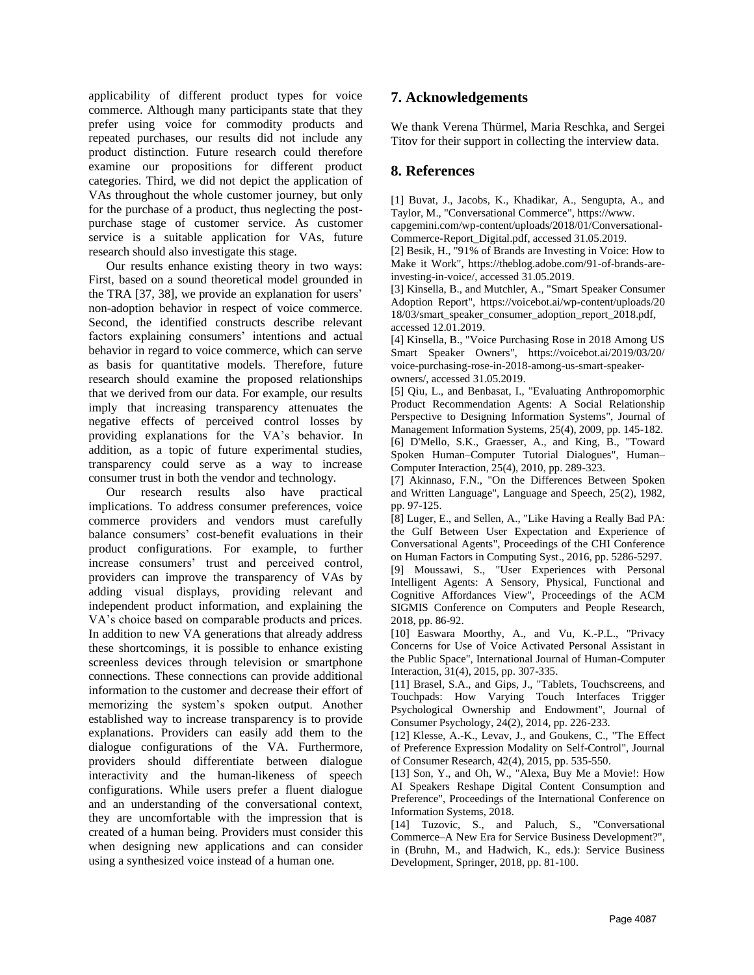applicability of different product types for voice commerce. Although many participants state that they prefer using voice for commodity products and repeated purchases, our results did not include any product distinction. Future research could therefore examine our propositions for different product categories. Third, we did not depict the application of VAs throughout the whole customer journey, but only for the purchase of a product, thus neglecting the postpurchase stage of customer service. As customer service is a suitable application for VAs, future research should also investigate this stage.

Our results enhance existing theory in two ways: First, based on a sound theoretical model grounded in the TRA [37, 38], we provide an explanation for users' non-adoption behavior in respect of voice commerce. Second, the identified constructs describe relevant factors explaining consumers' intentions and actual behavior in regard to voice commerce, which can serve as basis for quantitative models. Therefore, future research should examine the proposed relationships that we derived from our data. For example, our results imply that increasing transparency attenuates the negative effects of perceived control losses by providing explanations for the VA's behavior. In addition, as a topic of future experimental studies, transparency could serve as a way to increase consumer trust in both the vendor and technology.

Our research results also have practical implications. To address consumer preferences, voice commerce providers and vendors must carefully balance consumers' cost-benefit evaluations in their product configurations. For example, to further increase consumers' trust and perceived control, providers can improve the transparency of VAs by adding visual displays, providing relevant and independent product information, and explaining the VA's choice based on comparable products and prices. In addition to new VA generations that already address these shortcomings, it is possible to enhance existing screenless devices through television or smartphone connections. These connections can provide additional information to the customer and decrease their effort of memorizing the system's spoken output. Another established way to increase transparency is to provide explanations. Providers can easily add them to the dialogue configurations of the VA. Furthermore, providers should differentiate between dialogue interactivity and the human-likeness of speech configurations. While users prefer a fluent dialogue and an understanding of the conversational context, they are uncomfortable with the impression that is created of a human being. Providers must consider this when designing new applications and can consider using a synthesized voice instead of a human one.

# **7. Acknowledgements**

We thank Verena Thürmel, Maria Reschka, and Sergei Titov for their support in collecting the interview data.

# **8. References**

[1] Buvat, J., Jacobs, K., Khadikar, A., Sengupta, A., and Taylor, M., "Conversational Commerce", https://www.

capgemini.com/wp-content/uploads/2018/01/Conversational-Commerce-Report\_Digital.pdf, accessed 31.05.2019.

[2] Besik, H., "91% of Brands are Investing in Voice: How to Make it Work", https://theblog.adobe.com/91-of-brands-areinvesting-in-voice/, accessed 31.05.2019.

[3] Kinsella, B., and Mutchler, A., "Smart Speaker Consumer Adoption Report", https://voicebot.ai/wp-content/uploads/20 18/03/smart\_speaker\_consumer\_adoption\_report\_2018.pdf, accessed 12.01.2019.

[4] Kinsella, B., "Voice Purchasing Rose in 2018 Among US Smart Speaker Owners", https://voicebot.ai/2019/03/20/ voice-purchasing-rose-in-2018-among-us-smart-speakerowners/, accessed 31.05.2019.

[5] Qiu, L., and Benbasat, I., "Evaluating Anthropomorphic Product Recommendation Agents: A Social Relationship Perspective to Designing Information Systems", Journal of Management Information Systems, 25(4), 2009, pp. 145-182. [6] D'Mello, S.K., Graesser, A., and King, B., "Toward Spoken Human–Computer Tutorial Dialogues", Human– Computer Interaction, 25(4), 2010, pp. 289-323.

[7] Akinnaso, F.N., "On the Differences Between Spoken and Written Language", Language and Speech, 25(2), 1982, pp. 97-125.

[8] Luger, E., and Sellen, A., "Like Having a Really Bad PA: the Gulf Between User Expectation and Experience of Conversational Agents", Proceedings of the CHI Conference on Human Factors in Computing Syst., 2016, pp. 5286-5297.

[9] Moussawi, S., "User Experiences with Personal Intelligent Agents: A Sensory, Physical, Functional and Cognitive Affordances View", Proceedings of the ACM SIGMIS Conference on Computers and People Research, 2018, pp. 86-92.

[10] Easwara Moorthy, A., and Vu, K.-P.L., "Privacy Concerns for Use of Voice Activated Personal Assistant in the Public Space", International Journal of Human-Computer Interaction, 31(4), 2015, pp. 307-335.

[11] Brasel, S.A., and Gips, J., "Tablets, Touchscreens, and Touchpads: How Varying Touch Interfaces Trigger Psychological Ownership and Endowment", Journal of Consumer Psychology, 24(2), 2014, pp. 226-233.

[12] Klesse, A.-K., Levav, J., and Goukens, C., "The Effect of Preference Expression Modality on Self-Control", Journal of Consumer Research, 42(4), 2015, pp. 535-550.

[13] Son, Y., and Oh, W., "Alexa, Buy Me a Movie!: How AI Speakers Reshape Digital Content Consumption and Preference", Proceedings of the International Conference on Information Systems, 2018.

[14] Tuzovic, S., and Paluch, S., "Conversational Commerce–A New Era for Service Business Development?", in (Bruhn, M., and Hadwich, K., eds.): Service Business Development, Springer, 2018, pp. 81-100.